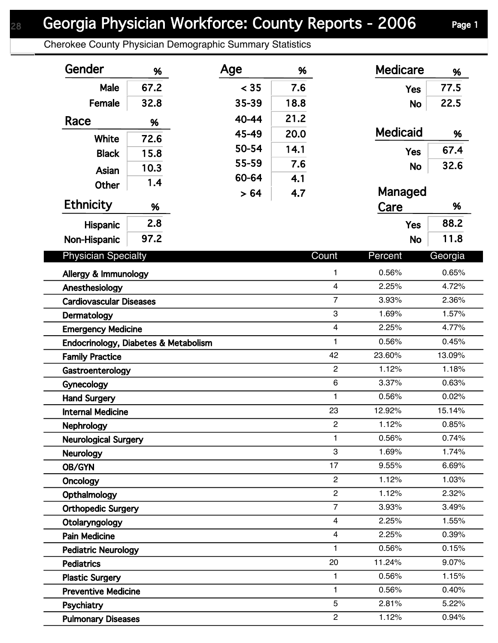## Georgia Physician Workforce: County Reports - 2006 Page 1

Cherokee County Physician Demographic Summary Statistics

| Gender                                          | %    | Age   | %    |                         | <b>Medicare</b> | %              |
|-------------------------------------------------|------|-------|------|-------------------------|-----------------|----------------|
| Male                                            | 67.2 | < 35  | 7.6  |                         | <b>Yes</b>      | 77.5           |
| Female                                          | 32.8 | 35-39 | 18.8 |                         | <b>No</b>       | 22.5           |
| Race                                            | %    | 40-44 | 21.2 |                         |                 |                |
|                                                 |      | 45-49 | 20.0 |                         | <b>Medicaid</b> | %              |
| White                                           | 72.6 | 50-54 | 14.1 |                         | <b>Yes</b>      | 67.4           |
| <b>Black</b>                                    | 15.8 | 55-59 | 7.6  |                         |                 | 32.6           |
| Asian                                           | 10.3 | 60-64 | 4.1  |                         | <b>No</b>       |                |
| <b>Other</b>                                    | 1.4  | > 64  | 4.7  |                         | Managed         |                |
| <b>Ethnicity</b>                                | %    |       |      |                         | Care            | %              |
| Hispanic                                        | 2.8  |       |      |                         | <b>Yes</b>      | 88.2           |
| Non-Hispanic                                    | 97.2 |       |      |                         | <b>No</b>       | 11.8           |
|                                                 |      |       |      |                         |                 |                |
| <b>Physician Specialty</b>                      |      |       |      | Count                   | Percent         | Georgia        |
| Allergy & Immunology                            |      |       |      | $\mathbf{1}$            | 0.56%           | 0.65%          |
| Anesthesiology                                  |      |       |      | $\overline{4}$          | 2.25%           | 4.72%          |
| <b>Cardiovascular Diseases</b>                  |      |       |      | $\overline{7}$          | 3.93%           | 2.36%          |
| Dermatology                                     |      |       |      | 3                       | 1.69%           | 1.57%          |
| <b>Emergency Medicine</b>                       |      |       |      | $\overline{\mathbf{4}}$ | 2.25%           | 4.77%          |
| Endocrinology, Diabetes & Metabolism            |      |       |      | $\mathbf{1}$            | 0.56%           | 0.45%          |
| <b>Family Practice</b>                          |      |       |      | 42                      | 23.60%          | 13.09%         |
| Gastroenterology                                |      |       |      | $\overline{2}$          | 1.12%           | 1.18%          |
| Gynecology                                      |      |       |      | $\,6\,$                 | 3.37%           | 0.63%          |
| <b>Hand Surgery</b>                             |      |       |      | 1                       | 0.56%           | 0.02%          |
| <b>Internal Medicine</b>                        |      |       |      | 23                      | 12.92%          | 15.14%         |
| <b>Nephrology</b>                               |      |       |      | $\overline{2}$          | 1.12%           | 0.85%          |
| <b>Neurological Surgery</b>                     |      |       |      | $\mathbf{1}$<br>3       | 0.56%<br>1.69%  | 0.74%<br>1.74% |
| <b>Neurology</b>                                |      |       |      | 17                      |                 | 6.69%          |
| OB/GYN                                          |      |       |      | $\overline{c}$          | 9.55%<br>1.12%  | 1.03%          |
| Oncology                                        |      |       |      | $\overline{c}$          | 1.12%           | 2.32%          |
| Opthalmology                                    |      |       |      | $\overline{7}$          | 3.93%           | 3.49%          |
| <b>Orthopedic Surgery</b>                       |      |       |      | $\overline{4}$          | 2.25%           | 1.55%          |
| Otolaryngology                                  |      |       |      | $\overline{4}$          | 2.25%           | 0.39%          |
| <b>Pain Medicine</b>                            |      |       |      | 1                       | 0.56%           | 0.15%          |
| <b>Pediatric Neurology</b><br><b>Pediatrics</b> |      |       |      | 20                      | 11.24%          | 9.07%          |
| <b>Plastic Surgery</b>                          |      |       |      | 1                       | 0.56%           | 1.15%          |
| <b>Preventive Medicine</b>                      |      |       |      | 1                       | 0.56%           | 0.40%          |
| Psychiatry                                      |      |       |      | 5                       | 2.81%           | 5.22%          |
| <b>Pulmonary Diseases</b>                       |      |       |      | $\overline{c}$          | 1.12%           | 0.94%          |
|                                                 |      |       |      |                         |                 |                |